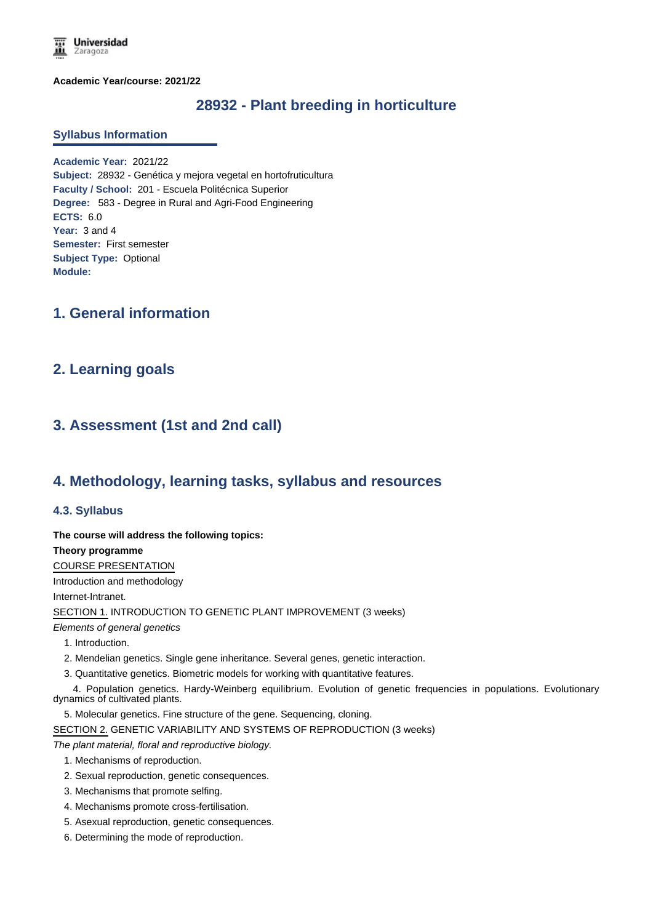

**Academic Year/course: 2021/22**

# **28932 - Plant breeding in horticulture**

#### **Syllabus Information**

**Academic Year:** 2021/22 **Subject:** 28932 - Genética y mejora vegetal en hortofruticultura **Faculty / School:** 201 - Escuela Politécnica Superior **Degree:** 583 - Degree in Rural and Agri-Food Engineering **ECTS:** 6.0 **Year:** 3 and 4 **Semester:** First semester **Subject Type:** Optional **Module:**

# **1. General information**

## **2. Learning goals**

# **3. Assessment (1st and 2nd call)**

## **4. Methodology, learning tasks, syllabus and resources**

#### **4.3. Syllabus**

**The course will address the following topics:** 

#### **Theory programme**

COURSE PRESENTATION

Introduction and methodology

Internet-Intranet.

SECTION 1. INTRODUCTION TO GENETIC PLANT IMPROVEMENT (3 weeks)

*Elements of general genetics*

- 1. Introduction.
- 2. Mendelian genetics. Single gene inheritance. Several genes, genetic interaction.
- 3. Quantitative genetics. Biometric models for working with quantitative features.

 4. Population genetics. Hardy-Weinberg equilibrium. Evolution of genetic frequencies in populations. Evolutionary dynamics of cultivated plants.

5. Molecular genetics. Fine structure of the gene. Sequencing, cloning.

SECTION 2. GENETIC VARIABILITY AND SYSTEMS OF REPRODUCTION (3 weeks)

*The plant material, floral and reproductive biology.*

- 1. Mechanisms of reproduction.
- 2. Sexual reproduction, genetic consequences.
- 3. Mechanisms that promote selfing.
- 4. Mechanisms promote cross-fertilisation.
- 5. Asexual reproduction, genetic consequences.
- 6. Determining the mode of reproduction.